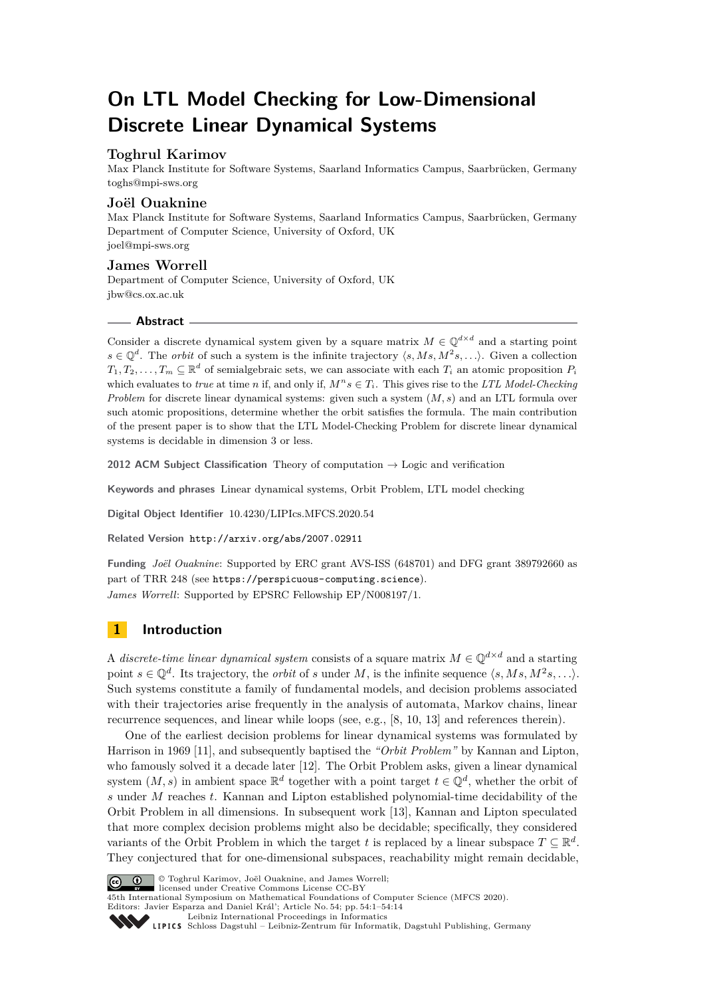# **On LTL Model Checking for Low-Dimensional Discrete Linear Dynamical Systems**

## **Toghrul Karimov**

Max Planck Institute for Software Systems, Saarland Informatics Campus, Saarbrücken, Germany [toghs@mpi-sws.org](mailto:toghs@mpi-sws.org)

#### **Joël Ouaknine**

Max Planck Institute for Software Systems, Saarland Informatics Campus, Saarbrücken, Germany Department of Computer Science, University of Oxford, UK [joel@mpi-sws.org](mailto:joel@mpi-sws.org)

## **James Worrell**

Department of Computer Science, University of Oxford, UK [jbw@cs.ox.ac.uk](mailto:jbw@cs.ox.ac.uk)

#### **Abstract**

Consider a discrete dynamical system given by a square matrix  $M \in \mathbb{Q}^{d \times d}$  and a starting point  $s \in \mathbb{Q}^d$ . The *orbit* of such a system is the infinite trajectory  $\langle s, Ms, M^2s, \ldots \rangle$ . Given a collection  $T_1, T_2, \ldots, T_m \subseteq \mathbb{R}^d$  of semialgebraic sets, we can associate with each  $T_i$  an atomic proposition  $P_i$ which evaluates to *true* at time *n* if, and only if,  $M^n s \in T_i$ . This gives rise to the *LTL Model-Checking Problem* for discrete linear dynamical systems: given such a system (*M, s*) and an LTL formula over such atomic propositions, determine whether the orbit satisfies the formula. The main contribution of the present paper is to show that the LTL Model-Checking Problem for discrete linear dynamical systems is decidable in dimension 3 or less.

**2012 ACM Subject Classification** Theory of computation → Logic and verification

**Keywords and phrases** Linear dynamical systems, Orbit Problem, LTL model checking

**Digital Object Identifier** [10.4230/LIPIcs.MFCS.2020.54](https://doi.org/10.4230/LIPIcs.MFCS.2020.54)

**Related Version** <http://arxiv.org/abs/2007.02911>

**Funding** *Joël Ouaknine*: Supported by ERC grant AVS-ISS (648701) and DFG grant 389792660 as part of TRR 248 (see <https://perspicuous-computing.science>). *James Worrell*: Supported by EPSRC Fellowship EP/N008197/1.

## **1 Introduction**

A *discrete-time linear dynamical system* consists of a square matrix  $M \in \mathbb{Q}^{d \times d}$  and a starting point  $s \in \mathbb{Q}^d$ . Its trajectory, the *orbit* of *s* under *M*, is the infinite sequence  $\langle s, Ms, M^2s, \ldots \rangle$ . Such systems constitute a family of fundamental models, and decision problems associated with their trajectories arise frequently in the analysis of automata, Markov chains, linear recurrence sequences, and linear while loops (see, e.g., [\[8,](#page-12-0) [10,](#page-12-1) [13\]](#page-12-2) and references therein).

One of the earliest decision problems for linear dynamical systems was formulated by Harrison in 1969 [\[11\]](#page-12-3), and subsequently baptised the *"Orbit Problem"* by Kannan and Lipton, who famously solved it a decade later [\[12\]](#page-12-4). The Orbit Problem asks, given a linear dynamical system  $(M, s)$  in ambient space  $\mathbb{R}^d$  together with a point target  $t \in \mathbb{Q}^d$ , whether the orbit of *s* under *M* reaches *t*. Kannan and Lipton established polynomial-time decidability of the Orbit Problem in all dimensions. In subsequent work [\[13\]](#page-12-2), Kannan and Lipton speculated that more complex decision problems might also be decidable; specifically, they considered variants of the Orbit Problem in which the target *t* is replaced by a linear subspace  $T \subseteq \mathbb{R}^d$ . They conjectured that for one-dimensional subspaces, reachability might remain decidable,



© Toghrul Karimov, Joël Ouaknine, and James Worrell; licensed under Creative Commons License CC-BY

45th International Symposium on Mathematical Foundations of Computer Science (MFCS 2020). Editors: Javier Esparza and Daniel Král'; Article No. 54; pp. 54:1–54[:14](#page-13-0)

[Leibniz International Proceedings in Informatics](https://www.dagstuhl.de/lipics/)

Leibniz International Froceedings in Informatik, Dagstuhl Publishing, Germany<br>LIPICS [Schloss Dagstuhl – Leibniz-Zentrum für Informatik, Dagstuhl Publishing, Germany](https://www.dagstuhl.de)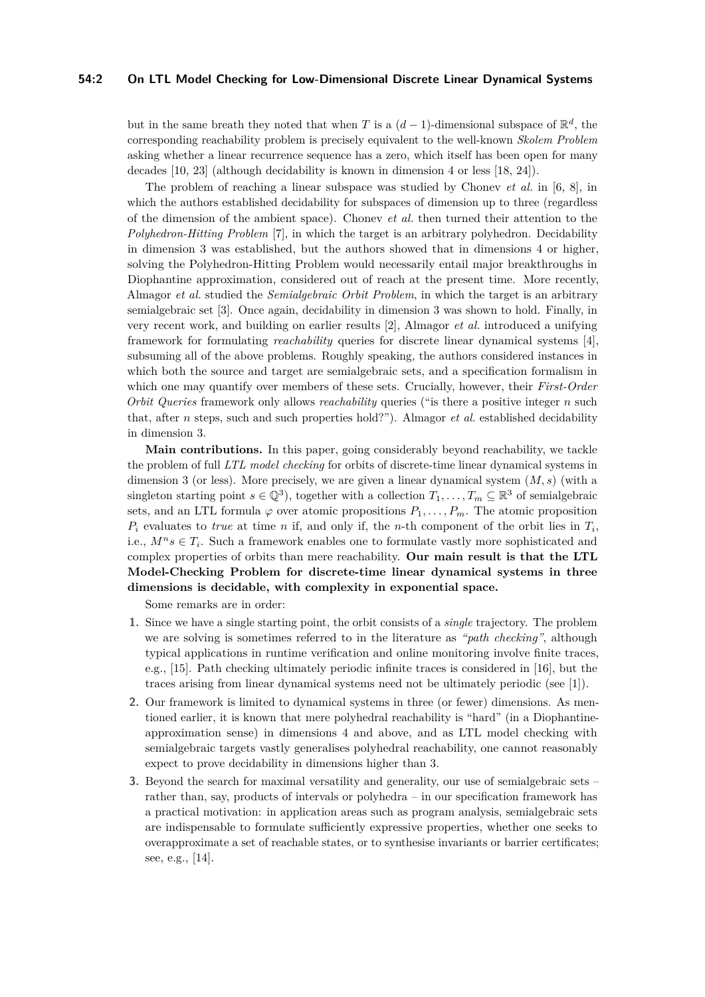#### **54:2 On LTL Model Checking for Low-Dimensional Discrete Linear Dynamical Systems**

but in the same breath they noted that when *T* is a  $(d-1)$ -dimensional subspace of  $\mathbb{R}^d$ , the corresponding reachability problem is precisely equivalent to the well-known *Skolem Problem* asking whether a linear recurrence sequence has a zero, which itself has been open for many decades [\[10,](#page-12-1) [23\]](#page-13-1) (although decidability is known in dimension 4 or less [\[18,](#page-13-2) [24\]](#page-13-3)).

The problem of reaching a linear subspace was studied by Chonev *et al.* in [\[6,](#page-12-5) [8\]](#page-12-0), in which the authors established decidability for subspaces of dimension up to three (regardless of the dimension of the ambient space). Chonev *et al.* then turned their attention to the *Polyhedron-Hitting Problem* [\[7\]](#page-12-6), in which the target is an arbitrary polyhedron. Decidability in dimension 3 was established, but the authors showed that in dimensions 4 or higher, solving the Polyhedron-Hitting Problem would necessarily entail major breakthroughs in Diophantine approximation, considered out of reach at the present time. More recently, Almagor *et al.* studied the *Semialgebraic Orbit Problem*, in which the target is an arbitrary semialgebraic set [\[3\]](#page-12-7). Once again, decidability in dimension 3 was shown to hold. Finally, in very recent work, and building on earlier results [\[2\]](#page-12-8), Almagor *et al.* introduced a unifying framework for formulating *reachability* queries for discrete linear dynamical systems [\[4\]](#page-12-9), subsuming all of the above problems. Roughly speaking, the authors considered instances in which both the source and target are semialgebraic sets, and a specification formalism in which one may quantify over members of these sets. Crucially, however, their *First-Order Orbit Queries* framework only allows *reachability* queries ("is there a positive integer *n* such that, after *n* steps, such and such properties hold?"). Almagor *et al.* established decidability in dimension 3.

**Main contributions.** In this paper, going considerably beyond reachability, we tackle the problem of full *LTL model checking* for orbits of discrete-time linear dynamical systems in dimension 3 (or less). More precisely, we are given a linear dynamical system (*M, s*) (with a singleton starting point  $s \in \mathbb{Q}^3$ , together with a collection  $T_1, \ldots, T_m \subseteq \mathbb{R}^3$  of semialgebraic sets, and an LTL formula  $\varphi$  over atomic propositions  $P_1, \ldots, P_m$ . The atomic proposition  $P_i$  evaluates to *true* at time *n* if, and only if, the *n*-th component of the orbit lies in  $T_i$ , i.e.,  $M^n s \in T_i$ . Such a framework enables one to formulate vastly more sophisticated and complex properties of orbits than mere reachability. **Our main result is that the LTL Model-Checking Problem for discrete-time linear dynamical systems in three dimensions is decidable, with complexity in exponential space.**

Some remarks are in order:

- **1.** Since we have a single starting point, the orbit consists of a *single* trajectory. The problem we are solving is sometimes referred to in the literature as *"path checking"*, although typical applications in runtime verification and online monitoring involve finite traces, e.g., [\[15\]](#page-13-4). Path checking ultimately periodic infinite traces is considered in [\[16\]](#page-13-5), but the traces arising from linear dynamical systems need not be ultimately periodic (see [\[1\]](#page-12-10)).
- **2.** Our framework is limited to dynamical systems in three (or fewer) dimensions. As mentioned earlier, it is known that mere polyhedral reachability is "hard" (in a Diophantineapproximation sense) in dimensions 4 and above, and as LTL model checking with semialgebraic targets vastly generalises polyhedral reachability, one cannot reasonably expect to prove decidability in dimensions higher than 3.
- **3.** Beyond the search for maximal versatility and generality, our use of semialgebraic sets rather than, say, products of intervals or polyhedra – in our specification framework has a practical motivation: in application areas such as program analysis, semialgebraic sets are indispensable to formulate sufficiently expressive properties, whether one seeks to overapproximate a set of reachable states, or to synthesise invariants or barrier certificates; see, e.g., [\[14\]](#page-13-6).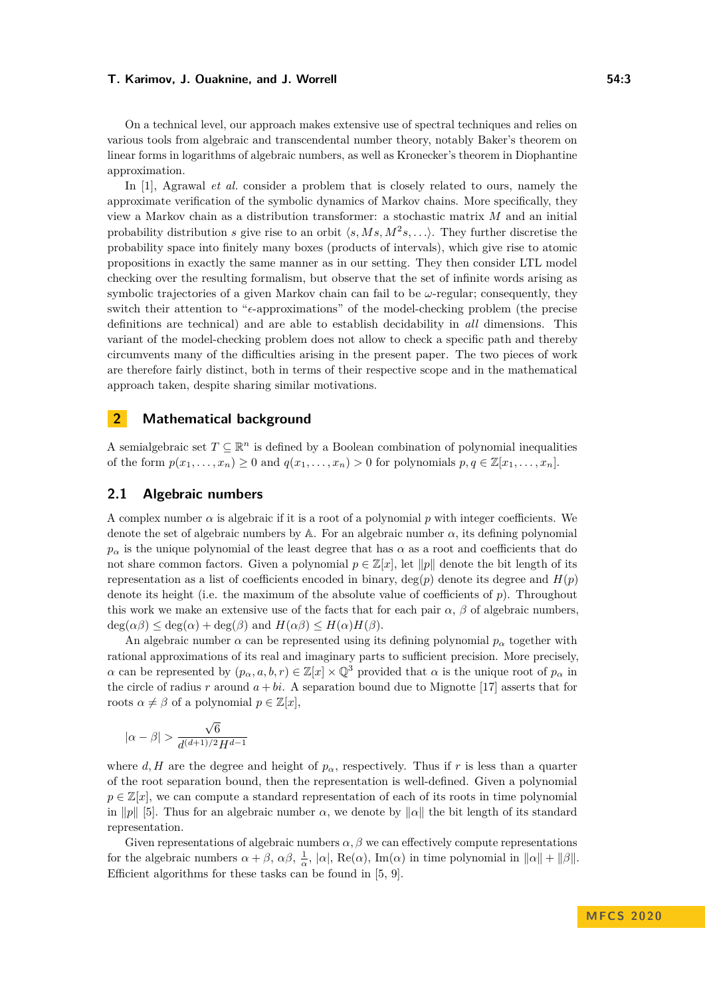On a technical level, our approach makes extensive use of spectral techniques and relies on various tools from algebraic and transcendental number theory, notably Baker's theorem on linear forms in logarithms of algebraic numbers, as well as Kronecker's theorem in Diophantine approximation.

In [\[1\]](#page-12-10), Agrawal *et al.* consider a problem that is closely related to ours, namely the approximate verification of the symbolic dynamics of Markov chains. More specifically, they view a Markov chain as a distribution transformer: a stochastic matrix *M* and an initial probability distribution *s* give rise to an orbit  $\langle s, Ms, M^2s, \ldots \rangle$ . They further discretise the probability space into finitely many boxes (products of intervals), which give rise to atomic propositions in exactly the same manner as in our setting. They then consider LTL model checking over the resulting formalism, but observe that the set of infinite words arising as symbolic trajectories of a given Markov chain can fail to be *ω*-regular; consequently, they switch their attention to " $\epsilon$ -approximations" of the model-checking problem (the precise definitions are technical) and are able to establish decidability in *all* dimensions. This variant of the model-checking problem does not allow to check a specific path and thereby circumvents many of the difficulties arising in the present paper. The two pieces of work are therefore fairly distinct, both in terms of their respective scope and in the mathematical approach taken, despite sharing similar motivations.

### **2 Mathematical background**

A semialgebraic set  $T \subseteq \mathbb{R}^n$  is defined by a Boolean combination of polynomial inequalities of the form  $p(x_1, \ldots, x_n) \geq 0$  and  $q(x_1, \ldots, x_n) > 0$  for polynomials  $p, q \in \mathbb{Z}[x_1, \ldots, x_n]$ .

## **2.1 Algebraic numbers**

A complex number *α* is algebraic if it is a root of a polynomial *p* with integer coefficients. We denote the set of algebraic numbers by  $\mathbb A$ . For an algebraic number  $\alpha$ , its defining polynomial  $p_\alpha$  is the unique polynomial of the least degree that has  $\alpha$  as a root and coefficients that do not share common factors. Given a polynomial  $p \in \mathbb{Z}[x]$ , let  $\|p\|$  denote the bit length of its representation as a list of coefficients encoded in binary,  $\deg(p)$  denote its degree and  $H(p)$ denote its height (i.e. the maximum of the absolute value of coefficients of *p*). Throughout this work we make an extensive use of the facts that for each pair  $\alpha$ ,  $\beta$  of algebraic numbers,  $deg(\alpha\beta) \leq deg(\alpha) + deg(\beta)$  and  $H(\alpha\beta) \leq H(\alpha)H(\beta)$ .

An algebraic number  $\alpha$  can be represented using its defining polynomial  $p_{\alpha}$  together with rational approximations of its real and imaginary parts to sufficient precision. More precisely, *α* can be represented by  $(p_{\alpha}, a, b, r) \in \mathbb{Z}[x] \times \mathbb{Q}^3$  provided that *α* is the unique root of  $p_{\alpha}$  in the circle of radius *r* around  $a + bi$ . A separation bound due to Mignotte [\[17\]](#page-13-7) asserts that for roots  $\alpha \neq \beta$  of a polynomial  $p \in \mathbb{Z}[x],$ 

$$
|\alpha-\beta|>\frac{\sqrt{6}}{d^{(d+1)/2}H^{d-1}}
$$

where *d, H* are the degree and height of  $p_\alpha$ , respectively. Thus if *r* is less than a quarter of the root separation bound, then the representation is well-defined. Given a polynomial  $p \in \mathbb{Z}[x]$ , we can compute a standard representation of each of its roots in time polynomial in  $\|p\|$  [\[5\]](#page-12-11). Thus for an algebraic number  $\alpha$ , we denote by  $\|\alpha\|$  the bit length of its standard representation.

Given representations of algebraic numbers  $\alpha$ ,  $\beta$  we can effectively compute representations for the algebraic numbers  $\alpha + \beta$ ,  $\alpha\beta$ ,  $\frac{1}{\alpha}$ ,  $|\alpha|$ , Re( $\alpha$ ), Im( $\alpha$ ) in time polynomial in  $||\alpha|| + ||\beta||$ . Efficient algorithms for these tasks can be found in [\[5,](#page-12-11) [9\]](#page-12-12).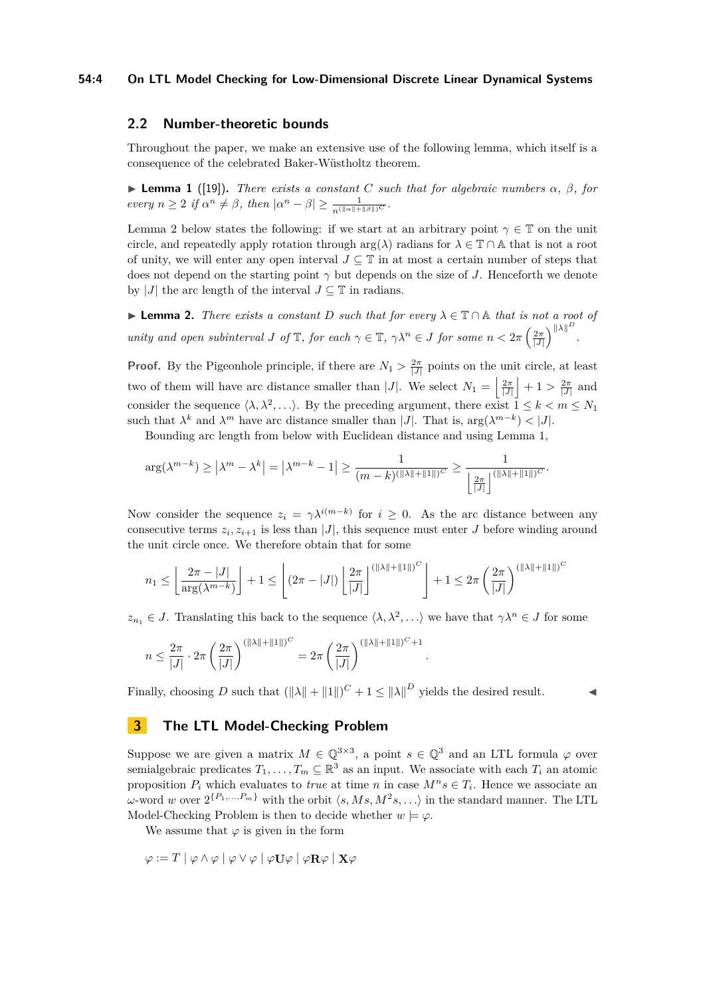#### **54:4 On LTL Model Checking for Low-Dimensional Discrete Linear Dynamical Systems**

## **2.2 Number-theoretic bounds**

Throughout the paper, we make an extensive use of the following lemma, which itself is a consequence of the celebrated Baker-Wüstholtz theorem.

 $\blacktriangleright$  **Lemma 1** ([\[19\]](#page-13-8)). *There exists a constant C such that for algebraic numbers*  $\alpha$ *,*  $\beta$ *, for*  $\int e^{x} e^{x} dx$  = 2 *if*  $\alpha^{n} \neq \beta$ , then  $|\alpha^{n} - \beta| \geq \frac{1}{n(\|\alpha\| + \|\beta\|)^{C}}$ .

Lemma 2 below states the following: if we start at an arbitrary point  $\gamma \in \mathbb{T}$  on the unit circle, and repeatedly apply rotation through  $\arg(\lambda)$  radians for  $\lambda \in \mathbb{T} \cap \mathbb{A}$  that is not a root of unity, we will enter any open interval  $J \subseteq \mathbb{T}$  in at most a certain number of steps that does not depend on the starting point *γ* but depends on the size of *J*. Henceforth we denote by |*J*| the arc length of the interval  $J \subseteq \mathbb{T}$  in radians.

**► Lemma 2.** *There exists a constant D such that for every*  $\lambda \in \mathbb{T} \cap \mathbb{A}$  *that is not a root of unity and open subinterval J* of  $\mathbb{T}$ *, for each*  $\gamma \in \mathbb{T}$ *,*  $\gamma \lambda^n \in J$  for some  $n < 2\pi \left(\frac{2\pi}{|J|}\right)^{||\lambda||^D}$ *.*

**Proof.** By the Pigeonhole principle, if there are  $N_1 > \frac{2\pi}{|J|}$  points on the unit circle, at least two of them will have arc distance smaller than |*J*|. We select  $N_1 = \left|\frac{2\pi}{|J|}\right| + 1 > \frac{2\pi}{|J|}$  and consider the sequence  $\langle \lambda, \lambda^2, \ldots \rangle$ . By the preceding argument, there exist  $1 \leq k < m \leq N_1$ such that  $\lambda^k$  and  $\lambda^m$  have arc distance smaller than |*J*|. That is,  $\arg(\lambda^{m-k}) < |J|$ .

Bounding arc length from below with Euclidean distance and using Lemma 1,

$$
\arg(\lambda^{m-k}) \ge |\lambda^m - \lambda^k| = |\lambda^{m-k} - 1| \ge \frac{1}{(m-k)^{(\|\lambda\| + \|1\|)^{C}}} \ge \frac{1}{\left\lfloor \frac{2\pi}{|J|} \right\rfloor^{(\|\lambda\| + \|1\|)^{C}}}.
$$

Now consider the sequence  $z_i = \gamma \lambda^{i(m-k)}$  for  $i \geq 0$ . As the arc distance between any consecutive terms  $z_i, z_{i+1}$  is less than  $|J|$ , this sequence must enter *J* before winding around the unit circle once. We therefore obtain that for some

$$
n_1 \leq \left\lfloor \frac{2\pi - |J|}{\arg(\lambda^{m-k})} \right\rfloor + 1 \leq \left\lfloor (2\pi - |J|) \left\lfloor \frac{2\pi}{|J|} \right\rfloor^{(\|\lambda\| + \|1\|)^{C}} \right\rfloor + 1 \leq 2\pi \left(\frac{2\pi}{|J|}\right)^{(\|\lambda\| + \|1\|)^{C}}
$$

 $z_{n_1} \in J$ . Translating this back to the sequence  $\langle \lambda, \lambda^2, \ldots \rangle$  we have that  $\gamma \lambda^n \in J$  for some

*.*

$$
n \le \frac{2\pi}{|J|} \cdot 2\pi \left(\frac{2\pi}{|J|}\right)^{(||\lambda|| + ||1||)^{C}} = 2\pi \left(\frac{2\pi}{|J|}\right)^{(||\lambda|| + ||1||)^{C} + 1}
$$

Finally, choosing *D* such that  $(||\lambda|| + ||1||)^C + 1 \le ||\lambda||^D$  yields the desired result.

## **3 The LTL Model-Checking Problem**

Suppose we are given a matrix  $M \in \mathbb{Q}^{3 \times 3}$ , a point  $s \in \mathbb{Q}^3$  and an LTL formula  $\varphi$  over semialgebraic predicates  $T_1, \ldots, T_m \subseteq \mathbb{R}^3$  as an input. We associate with each  $T_i$  an atomic proposition  $P_i$  which evaluates to *true* at time *n* in case  $M^n s \in T_i$ . Hence we associate an *ω*-word *w* over  $2^{\{P_1,\ldots,P_m\}}$  with the orbit  $\langle s, Ms, M^2s, \ldots \rangle$  in the standard manner. The LTL Model-Checking Problem is then to decide whether  $w \models \varphi$ .

We assume that  $\varphi$  is given in the form

$$
\varphi:=T\mid\varphi\wedge\varphi\mid\varphi\vee\varphi\mid\varphi\mathbf{U}\varphi\mid\varphi\mathbf{R}\varphi\mid\mathbf{X}\varphi
$$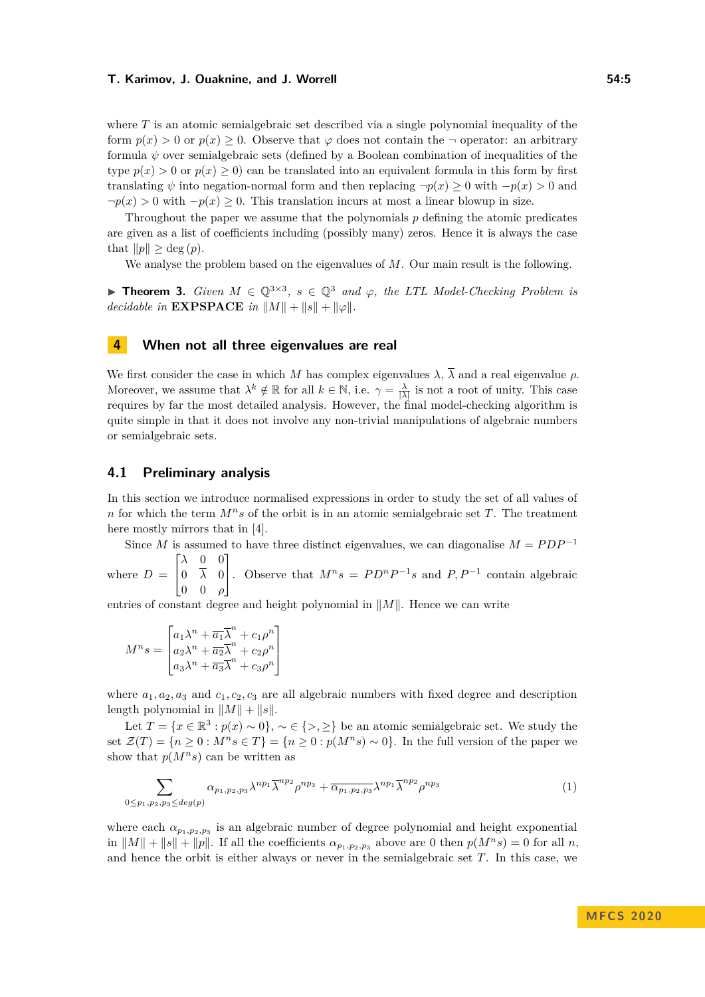where *T* is an atomic semialgebraic set described via a single polynomial inequality of the form  $p(x) > 0$  or  $p(x) > 0$ . Observe that  $\varphi$  does not contain the  $\neg$  operator: an arbitrary formula  $\psi$  over semialgebraic sets (defined by a Boolean combination of inequalities of the type  $p(x) > 0$  or  $p(x) \ge 0$  can be translated into an equivalent formula in this form by first translating  $\psi$  into negation-normal form and then replacing  $\neg p(x) \geq 0$  with  $-p(x) > 0$  and  $\neg p(x) > 0$  with  $-p(x) \geq 0$ . This translation incurs at most a linear blowup in size.

Throughout the paper we assume that the polynomials *p* defining the atomic predicates are given as a list of coefficients including (possibly many) zeros. Hence it is always the case that  $||p|| \geq \deg(p)$ .

We analyse the problem based on the eigenvalues of *M*. Our main result is the following.

**► Theorem 3.** *Given*  $M \in \mathbb{Q}^{3 \times 3}$ ,  $s \in \mathbb{Q}^{3}$  and  $\varphi$ , the LTL Model-Checking Problem is *decidable in*  $\mathbf{EXPSPACE}$  *in*  $\|M\| + \|s\| + \|\varphi\|.$ 

## **4 When not all three eigenvalues are real**

We first consider the case in which *M* has complex eigenvalues  $\lambda$ ,  $\overline{\lambda}$  and a real eigenvalue  $\rho$ . Moreover, we assume that  $\lambda^k \notin \mathbb{R}$  for all  $k \in \mathbb{N}$ , i.e.  $\gamma = \frac{\lambda}{|\lambda|}$  is not a root of unity. This case requires by far the most detailed analysis. However, the final model-checking algorithm is quite simple in that it does not involve any non-trivial manipulations of algebraic numbers or semialgebraic sets.

#### **4.1 Preliminary analysis**

In this section we introduce normalised expressions in order to study the set of all values of *n* for which the term *Mns* of the orbit is in an atomic semialgebraic set *T*. The treatment here mostly mirrors that in [\[4\]](#page-12-9).

Since *M* is assumed to have three distinct eigenvalues, we can diagonalise  $M = PDP^{-1}$ 

where  $D =$  $\lceil$  $\overline{\phantom{a}}$ *λ* 0 0 0 *λ* 0 0 0 *ρ* 1 . Observe that  $M^n s = P D^n P^{-1} s$  and  $P, P^{-1}$  contain algebraic

entries of constant degree and height polynomial in  $||M||$ . Hence we can write

$$
M^{n}s = \begin{bmatrix} a_{1}\lambda^{n} + \overline{a_{1}}\overline{\lambda}^{n} + c_{1}\rho^{n} \\ a_{2}\lambda^{n} + \overline{a_{2}}\overline{\lambda}^{n} + c_{2}\rho^{n} \\ a_{3}\lambda^{n} + \overline{a_{3}}\overline{\lambda}^{n} + c_{3}\rho^{n} \end{bmatrix}
$$

where  $a_1, a_2, a_3$  and  $c_1, c_2, c_3$  are all algebraic numbers with fixed degree and description length polynomial in  $||M|| + ||s||$ .

Let  $T = \{x \in \mathbb{R}^3 : p(x) \sim 0\}, \sim \in \{>, \geq\}$  be an atomic semialgebraic set. We study the set  $\mathcal{Z}(T) = \{n \geq 0 : M^n s \in T\} = \{n \geq 0 : p(M^n s) \sim 0\}$ . In the full version of the paper we show that  $p(M^n s)$  can be written as

$$
\sum_{0 \le p_1, p_2, p_3 \le \deg(p)} \alpha_{p_1, p_2, p_3} \lambda^{np_1} \overline{\lambda}^{np_2} \rho^{np_3} + \overline{\alpha_{p_1, p_2, p_3}} \lambda^{np_1} \overline{\lambda}^{np_2} \rho^{np_3}
$$
 (1)

where each  $\alpha_{p_1,p_2,p_3}$  is an algebraic number of degree polynomial and height exponential in  $||M|| + ||s|| + ||p||$ . If all the coefficients  $\alpha_{p_1, p_2, p_3}$  above are 0 then  $p(M^n s) = 0$  for all *n*, and hence the orbit is either always or never in the semialgebraic set *T*. In this case, we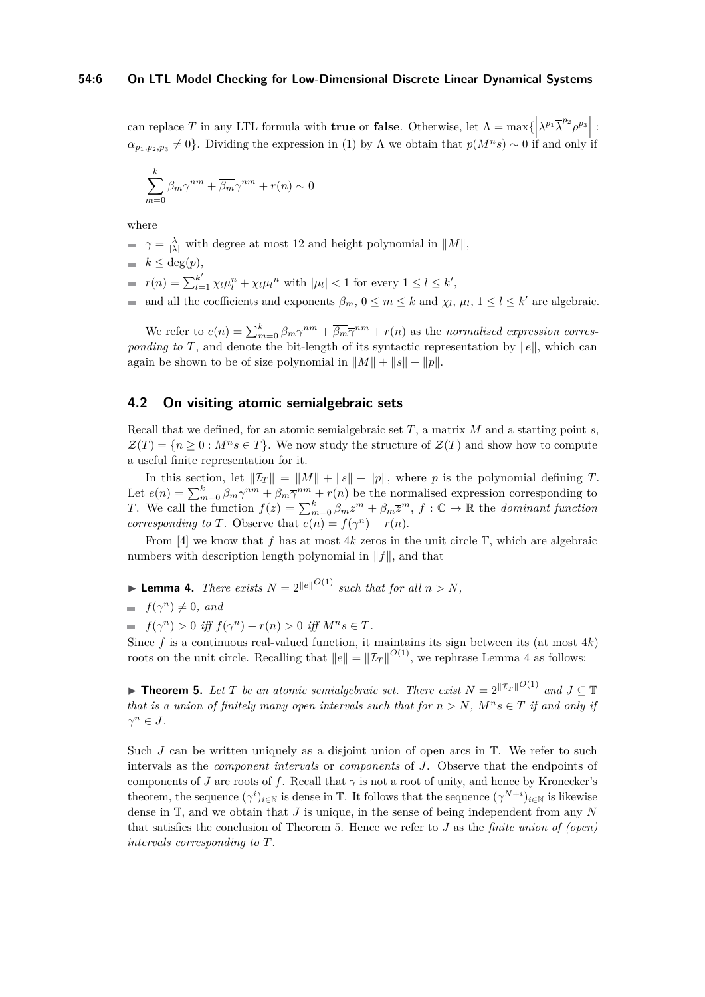can replace *T* in any LTL formula with **true** or **false**. Otherwise, let  $\Lambda = \max\{\left|\lambda^{p_1} \overline{\lambda}^{p_2} \rho^{p_3}\right| :$  $\alpha_{p_1, p_2, p_3} \neq 0$ . Dividing the expression in (1) by Λ we obtain that  $p(M^n s) \sim 0$  if and only if

$$
\sum_{m=0}^{k} \beta_m \gamma^{nm} + \overline{\beta_m} \overline{\gamma}^{nm} + r(n) \sim 0
$$

where

- $\gamma = \frac{\lambda}{|\lambda|}$  with degree at most 12 and height polynomial in  $||M||$ ,
- $\blacksquare$  *k* ≤ deg(*p*),
- $r(n) = \sum_{l=1}^{k'} \chi_l \mu_l^n + \overline{\chi_l \mu_l}^n$  with  $|\mu_l| < 1$  for every  $1 \le l \le k'$ ,

and all the coefficients and exponents  $\beta_m$ ,  $0 \leq m \leq k$  and  $\chi_l$ ,  $\mu_l$ ,  $1 \leq l \leq k'$  are algebraic.

We refer to  $e(n) = \sum_{m=0}^{k} \beta_m \gamma^{nm} + \overline{\beta_m} \overline{\gamma}^{nm} + r(n)$  as the *normalised expression corresponding to T*, and denote the bit-length of its syntactic representation by  $||e||$ , which can again be shown to be of size polynomial in  $||M|| + ||s|| + ||p||$ .

#### **4.2 On visiting atomic semialgebraic sets**

Recall that we defined, for an atomic semialgebraic set *T*, a matrix *M* and a starting point *s*,  $\mathcal{Z}(T) = \{n \geq 0 : M^n s \in T\}$ . We now study the structure of  $\mathcal{Z}(T)$  and show how to compute a useful finite representation for it.

In this section, let  $\|\mathcal{I}_T\| = \|M\| + \|s\| + \|p\|$ , where *p* is the polynomial defining *T*. Let  $e(n) = \sum_{m=0}^{k} \beta_m \gamma^{nm} + \overline{\beta_m} \overline{\gamma}^{nm} + r(n)$  be the normalised expression corresponding to *T*. We call the function  $f(z) = \sum_{m=0}^{k} \beta_m z^m + \overline{\beta_m} \overline{z}^m$ ,  $f: \mathbb{C} \to \mathbb{R}$  the *dominant function corresponding to T*. Observe that  $e(n) = f(\gamma^n) + r(n)$ .

From [\[4\]](#page-12-9) we know that f has at most 4*k* zeros in the unit circle  $\mathbb{T}$ , which are algebraic numbers with description length polynomial in  $||f||$ , and that

**Lemma 4.** *There exists*  $N = 2^{\lVert e \rVert^{O(1)}}$  *such that for all*  $n > N$ *,* 

$$
= f(\gamma^n) \neq 0, \text{ and}
$$

 $f(\gamma^n) > 0$  *iff*  $f(\gamma^n) + r(n) > 0$  *iff*  $M^n s \in T$ *.* 

Since  $f$  is a continuous real-valued function, it maintains its sign between its (at most  $4k$ ) roots on the unit circle. Recalling that  $||e|| = ||\mathcal{I}_T||^{O(1)}$ , we rephrase Lemma 4 as follows:

**Findment 5.** Let T be an atomic semialgebraic set. There exist  $N = 2^{\Vert \mathcal{I}_T \Vert^{O(1)}}$  and  $J \subseteq \mathbb{T}$ *that is a union of finitely many open intervals such that for*  $n > N$ *,*  $M^n s \in T$  *if and only if*  $\gamma^n \in J$ .

Such  $J$  can be written uniquely as a disjoint union of open arcs in  $T$ . We refer to such intervals as the *component intervals* or *components* of *J*. Observe that the endpoints of components of *J* are roots of *f*. Recall that  $\gamma$  is not a root of unity, and hence by Kronecker's theorem, the sequence  $(\gamma^i)_{i \in \mathbb{N}}$  is dense in  $\mathbb{T}$ . It follows that the sequence  $(\gamma^{N+i})_{i \in \mathbb{N}}$  is likewise dense in T, and we obtain that *J* is unique, in the sense of being independent from any *N* that satisfies the conclusion of Theorem 5. Hence we refer to *J* as the *finite union of (open) intervals corresponding to T*.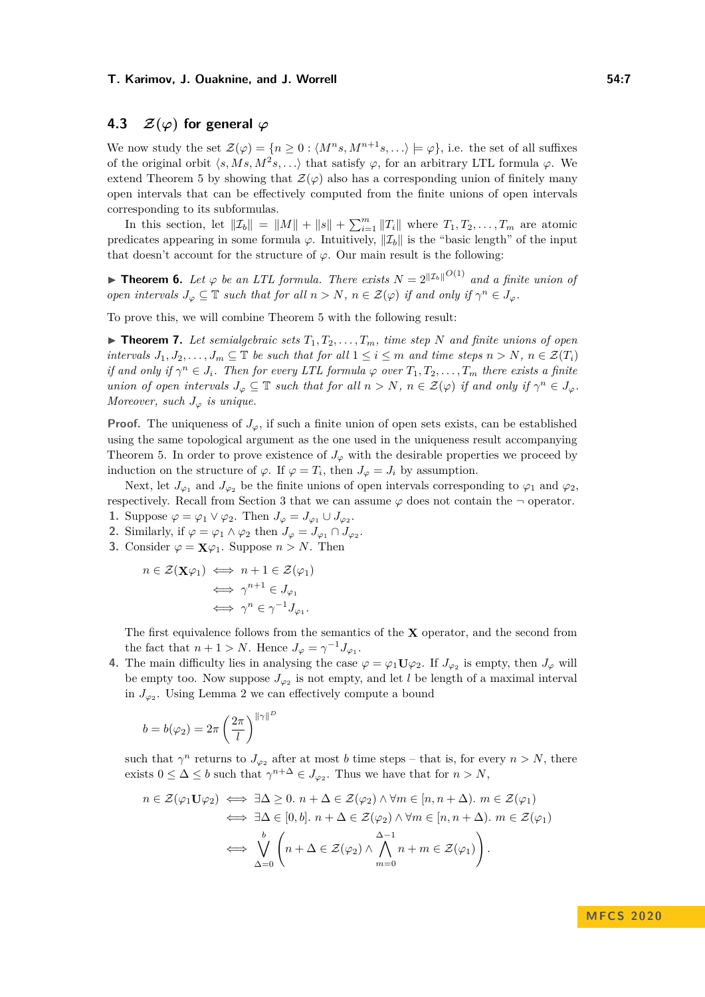## **4.3**  $\mathcal{Z}(\varphi)$  for general  $\varphi$

We now study the set  $\mathcal{Z}(\varphi) = \{n \geq 0 : \langle M^n s, M^{n+1} s, \ldots \rangle \models \varphi\}$ , i.e. the set of all suffixes of the original orbit  $\langle s, Ms, M^2s, \ldots \rangle$  that satisfy  $\varphi$ , for an arbitrary LTL formula  $\varphi$ . We extend Theorem 5 by showing that  $\mathcal{Z}(\varphi)$  also has a corresponding union of finitely many open intervals that can be effectively computed from the finite unions of open intervals corresponding to its subformulas.

In this section, let  $||\mathcal{I}_b|| = ||M|| + ||s|| + \sum_{i=1}^m ||T_i||$  where  $T_1, T_2, \ldots, T_m$  are atomic predicates appearing in some formula  $\varphi$ . Intuitively,  $\|\mathcal{I}_b\|$  is the "basic length" of the input that doesn't account for the structure of  $\varphi$ . Our main result is the following:

**Theorem 6.** Let  $\varphi$  be an LTL formula. There exists  $N = 2^{\Vert \mathcal{I}_b \Vert}$  and a finite union of *open intervals*  $J_{\varphi} \subseteq \mathbb{T}$  *such that for all*  $n > N$ ,  $n \in \mathcal{Z}(\varphi)$  *if and only if*  $\gamma^n \in J_{\varphi}$ *.* 

<span id="page-6-0"></span>To prove this, we will combine Theorem 5 with the following result:

 $\blacktriangleright$  **Theorem 7.** Let semialgebraic sets  $T_1, T_2, \ldots, T_m$ , time step N and finite unions of open *intervals*  $J_1, J_2, \ldots, J_m \subseteq \mathbb{T}$  *be such that for all*  $1 \leq i \leq m$  *and time steps*  $n > N$ ,  $n \in \mathcal{Z}(T_i)$ *if and only if*  $\gamma^n \in J_i$ *. Then for every LTL formula*  $\varphi$  *over*  $T_1, T_2, \ldots, T_m$  *there exists a finite union of open intervals*  $J_{\varphi} \subseteq \mathbb{T}$  *such that for all*  $n > N$ ,  $n \in \mathcal{Z}(\varphi)$  *if and only if*  $\gamma^n \in J_{\varphi}$ *. Moreover, such*  $J_{\varphi}$  *is unique.* 

**Proof.** The uniqueness of  $J_\varphi$ , if such a finite union of open sets exists, can be established using the same topological argument as the one used in the uniqueness result accompanying Theorem 5. In order to prove existence of  $J_{\varphi}$  with the desirable properties we proceed by induction on the structure of  $\varphi$ . If  $\varphi = T_i$ , then  $J_{\varphi} = J_i$  by assumption.

Next, let  $J_{\varphi_1}$  and  $J_{\varphi_2}$  be the finite unions of open intervals corresponding to  $\varphi_1$  and  $\varphi_2$ , respectively. Recall from Section 3 that we can assume  $\varphi$  does not contain the  $\neg$  operator.

- **1.** Suppose  $\varphi = \varphi_1 \vee \varphi_2$ . Then  $J_{\varphi} = J_{\varphi_1} \cup J_{\varphi_2}$ .
- **2.** Similarly, if  $\varphi = \varphi_1 \wedge \varphi_2$  then  $J_{\varphi} = J_{\varphi_1} \cap J_{\varphi_2}$ .
- **3.** Consider  $\varphi = \mathbf{X}\varphi_1$ . Suppose  $n > N$ . Then

$$
n \in \mathcal{Z}(\mathbf{X}\varphi_1) \iff n+1 \in \mathcal{Z}(\varphi_1)
$$

$$
\iff \gamma^{n+1} \in J_{\varphi_1}
$$

$$
\iff \gamma^n \in \gamma^{-1}J_{\varphi_1}.
$$

The first equivalence follows from the semantics of the **X** operator, and the second from the fact that  $n + 1 > N$ . Hence  $J_{\varphi} = \gamma^{-1} J_{\varphi_1}$ .

**4.** The main difficulty lies in analysing the case  $\varphi = \varphi_1 \mathbf{U} \varphi_2$ . If  $J_{\varphi_2}$  is empty, then  $J_{\varphi}$  will be empty too. Now suppose  $J_{\varphi_2}$  is not empty, and let *l* be length of a maximal interval in  $J_{\varphi_2}$ . Using Lemma 2 we can effectively compute a bound

$$
b = b(\varphi_2) = 2\pi \left(\frac{2\pi}{l}\right)^{\|\gamma\|^D}
$$

such that  $\gamma^n$  returns to  $J_{\varphi_2}$  after at most *b* time steps – that is, for every  $n > N$ , there exists  $0 \leq \Delta \leq b$  such that  $\gamma^{n+\Delta} \in J_{\varphi_2}$ . Thus we have that for  $n > N$ ,

$$
n \in \mathcal{Z}(\varphi_1 \mathbf{U} \varphi_2) \iff \exists \Delta \geq 0. \ n + \Delta \in \mathcal{Z}(\varphi_2) \land \forall m \in [n, n + \Delta). \ m \in \mathcal{Z}(\varphi_1)
$$
  

$$
\iff \exists \Delta \in [0, b]. \ n + \Delta \in \mathcal{Z}(\varphi_2) \land \forall m \in [n, n + \Delta). \ m \in \mathcal{Z}(\varphi_1)
$$
  

$$
\iff \bigvee_{\Delta = 0}^{b} \left( n + \Delta \in \mathcal{Z}(\varphi_2) \land \bigwedge_{m = 0}^{\Delta - 1} n + m \in \mathcal{Z}(\varphi_1) \right).
$$

**M FC S 2 0 2 0**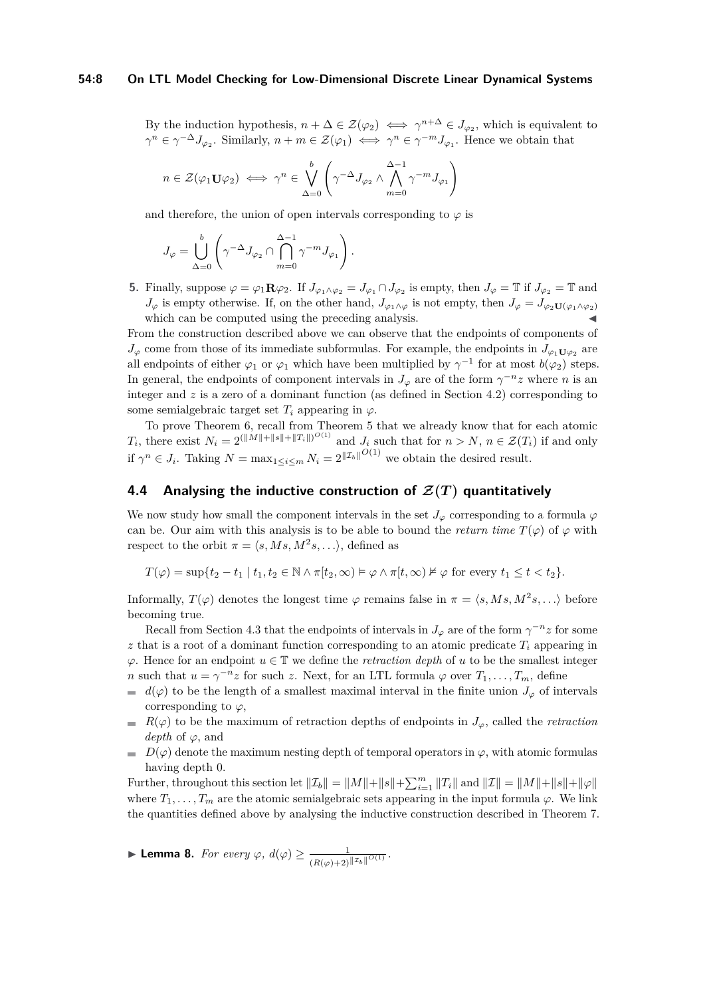#### **54:8 On LTL Model Checking for Low-Dimensional Discrete Linear Dynamical Systems**

By the induction hypothesis,  $n + \Delta \in \mathcal{Z}(\varphi_2) \iff \gamma^{n+\Delta} \in J_{\varphi_2}$ , which is equivalent to  $\gamma^n \in \gamma^{-\Delta} J_{\varphi_2}$ . Similarly,  $n + m \in \mathcal{Z}(\varphi_1) \iff \gamma^n \in \gamma^{-m} J_{\varphi_1}$ . Hence we obtain that

$$
n \in \mathcal{Z}(\varphi_1 \mathbf{U} \varphi_2) \iff \gamma^n \in \bigvee_{\Delta=0}^b \left( \gamma^{-\Delta} J_{\varphi_2} \wedge \bigwedge_{m=0}^{\Delta-1} \gamma^{-m} J_{\varphi_1} \right)
$$

and therefore, the union of open intervals corresponding to  $\varphi$  is

$$
J_{\varphi} = \bigcup_{\Delta=0}^b \left( \gamma^{-\Delta} J_{\varphi_2} \cap \bigcap_{m=0}^{\Delta-1} \gamma^{-m} J_{\varphi_1} \right).
$$

**5.** Finally, suppose  $\varphi = \varphi_1 \mathbf{R} \varphi_2$ . If  $J_{\varphi_1 \wedge \varphi_2} = J_{\varphi_1} \cap J_{\varphi_2}$  is empty, then  $J_{\varphi} = \mathbb{T}$  if  $J_{\varphi_2} = \mathbb{T}$  and *J*<sup> $\phi$ </sup> is empty otherwise. If, on the other hand, *J*<sub> $\phi_1 \wedge \phi$ </sub> is not empty, then  $J_{\phi} = J_{\phi_2 \mathbf{U}(\phi_1 \wedge \phi_2)}$ which can be computed using the preceding analysis.

From the construction described above we can observe that the endpoints of components of  $J_{\varphi}$  come from those of its immediate subformulas. For example, the endpoints in  $J_{\varphi_1 \mathbf{U}\varphi_2}$  are all endpoints of either  $\varphi_1$  or  $\varphi_1$  which have been multiplied by  $\gamma^{-1}$  for at most  $b(\varphi_2)$  steps. In general, the endpoints of component intervals in  $J_{\varphi}$  are of the form  $\gamma^{-n}z$  where *n* is an integer and *z* is a zero of a dominant function (as defined in Section 4.2) corresponding to some semialgebraic target set  $T_i$  appearing in  $\varphi$ .

To prove Theorem 6, recall from Theorem 5 that we already know that for each atomic *T*<sub>*i*</sub>, there exist  $N_i = 2^{(\|M\| + \|s\| + \|T_i\|)^{O(1)}}$  and  $J_i$  such that for  $n > N$ ,  $n \in \mathcal{Z}(T_i)$  if and only if  $\gamma^n \in J_i$ . Taking  $N = \max_{1 \le i \le m} N_i = 2^{\lVert \mathcal{I}_b \rVert^{O(1)}}$  we obtain the desired result.

## **4.4 Analysing the inductive construction of**  $\mathcal{Z}(T)$  **quantitatively**

We now study how small the component intervals in the set  $J_{\varphi}$  corresponding to a formula  $\varphi$ can be. Our aim with this analysis is to be able to bound the *return time*  $T(\varphi)$  of  $\varphi$  with respect to the orbit  $\pi = \langle s, Ms, M^2s, \ldots \rangle$ , defined as

 $T(\varphi) = \sup\{t_2 - t_1 \mid t_1, t_2 \in \mathbb{N} \wedge \pi[t_2, \infty) \models \varphi \wedge \pi[t_2, \infty) \not\vDash \varphi \text{ for every } t_1 \leq t < t_2\}.$ 

Informally,  $T(\varphi)$  denotes the longest time  $\varphi$  remains false in  $\pi = \langle s, Ms, M^2s, \ldots \rangle$  before becoming true.

Recall from Section 4.3 that the endpoints of intervals in  $J_{\varphi}$  are of the form  $\gamma^{-n}z$  for some  $z$  that is a root of a dominant function corresponding to an atomic predicate  $T_i$  appearing in  $\varphi$ . Hence for an endpoint  $u \in \mathbb{T}$  we define the *retraction depth* of *u* to be the smallest integer *n* such that  $u = \gamma^{-n}z$  for such *z*. Next, for an LTL formula  $\varphi$  over  $T_1, \ldots, T_m$ , define

- $d(\varphi)$  to be the length of a smallest maximal interval in the finite union  $J_{\varphi}$  of intervals  $\equiv$ corresponding to  $\varphi$ ,
- $R(\varphi)$  to be the maximum of retraction depths of endpoints in  $J_{\varphi}$ , called the *retraction depth* of *ϕ*, and
- $D(\varphi)$  denote the maximum nesting depth of temporal operators in  $\varphi$ , with atomic formulas having depth 0.

Further, throughout this section let  $||\mathcal{I}_b|| = ||M|| + ||s|| + \sum_{i=1}^m ||T_i||$  and  $||\mathcal{I}|| = ||M|| + ||s|| + ||\varphi||$ where  $T_1, \ldots, T_m$  are the atomic semialgebraic sets appearing in the input formula  $\varphi$ . We link the quantities defined above by analysing the inductive construction described in Theorem [7.](#page-6-0)

$$
\blacktriangleright \textbf{Lemma 8. For every } \varphi, d(\varphi) \geq \frac{1}{(R(\varphi)+2)^{||\mathcal{I}_b||^{O(1)}}}.
$$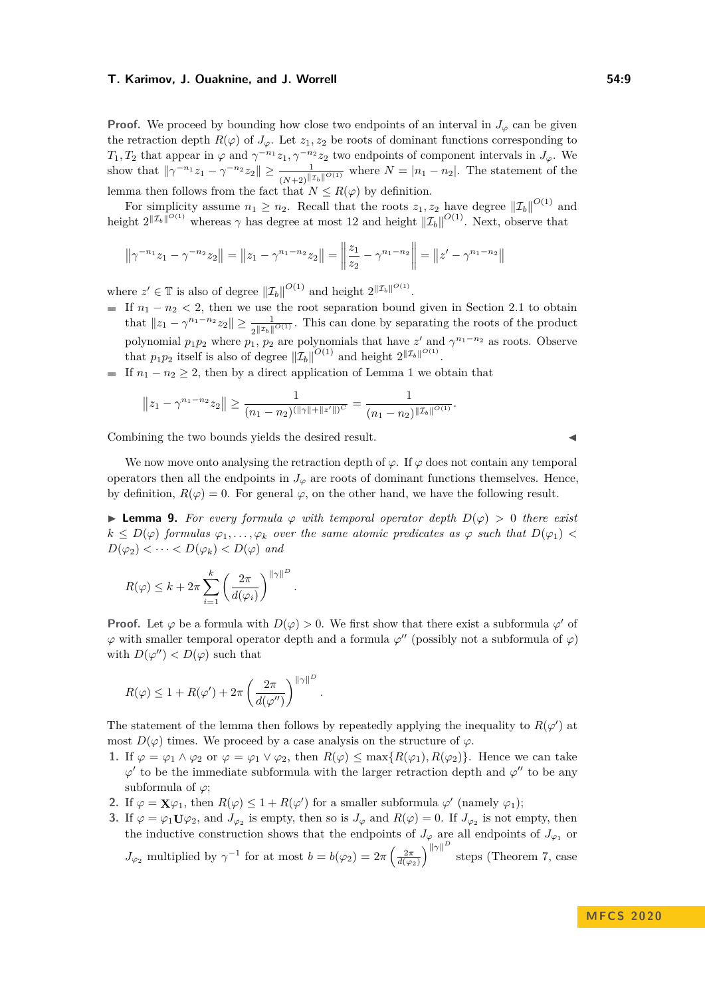**Proof.** We proceed by bounding how close two endpoints of an interval in  $J_\varphi$  can be given the retraction depth  $R(\varphi)$  of  $J_{\varphi}$ . Let  $z_1, z_2$  be roots of dominant functions corresponding to *T*<sub>1</sub>*, T*<sub>2</sub> that appear in  $\varphi$  and  $\gamma^{-n_1}z_1, \gamma^{-n_2}z_2$  two endpoints of component intervals in  $J_{\varphi}$ . We show that  $\|\gamma^{-n_1} z_1 - \gamma^{-n_2} z_2\| \ge \frac{1}{(N+2)^{||\mathcal{I}_b||^{O(1)}}}$  where  $N = |n_1 - n_2|$ . The statement of the lemma then follows from the fact that  $N \leq R(\varphi)$  by definition.

For simplicity assume  $n_1 \geq n_2$ . Recall that the roots  $z_1, z_2$  have degree  $\|\mathcal{I}_b\|^{O(1)}$  and height  $2^{||\mathcal{I}_b||^{O(1)}}$  whereas  $\gamma$  has degree at most 12 and height  $||\mathcal{I}_b||^{O(1)}$ . Next, observe that

$$
\left\|\gamma^{-n_1}z_1 - \gamma^{-n_2}z_2\right\| = \left\|z_1 - \gamma^{n_1 - n_2}z_2\right\| = \left\|\frac{z_1}{z_2} - \gamma^{n_1 - n_2}\right\| = \left\|z' - \gamma^{n_1 - n_2}\right\|
$$

where  $z' \in \mathbb{T}$  is also of degree  $||\mathcal{I}_b||^{O(1)}$  and height  $2^{||\mathcal{I}_b||^{O(1)}}$ .

- If  $n_1 n_2 < 2$ , then we use the root separation bound given in Section 2.1 to obtain that  $||z_1 - \gamma^{n_1-n_2}z_2|| \ge \frac{1}{2||z_b||^{O(1)}}$ . This can done by separating the roots of the product polynomial  $p_1p_2$  where  $p_1$ ,  $p_2$  are polynomials that have  $z'$  and  $\gamma^{n_1-n_2}$  as roots. Observe that  $p_1p_2$  itself is also of degree  $\|\mathcal{I}_b\|^{O(1)}$  and height  $2^{\|\mathcal{I}_b\|^{O(1)}}$ .
- If  $n_1 n_2 \geq 2$ , then by a direct application of Lemma 1 we obtain that

$$
||z_1 - \gamma^{n_1 - n_2} z_2|| \ge \frac{1}{(n_1 - n_2)^{(\|\gamma\| + \|z'\|)^C}} = \frac{1}{(n_1 - n_2)^{(\|z\|)^{O(1)}}}.
$$

*.*

Combining the two bounds yields the desired result.

We now move onto analysing the retraction depth of  $\varphi$ . If  $\varphi$  does not contain any temporal operators then all the endpoints in  $J_\varphi$  are roots of dominant functions themselves. Hence, by definition,  $R(\varphi) = 0$ . For general  $\varphi$ , on the other hand, we have the following result.

**► Lemma 9.** For every formula  $\varphi$  with temporal operator depth  $D(\varphi) > 0$  there exist  $k \leq D(\varphi)$  *formulas*  $\varphi_1, \ldots, \varphi_k$  *over the same atomic predicates as*  $\varphi$  *such that*  $D(\varphi_1)$  <  $D(\varphi_2) < \cdots < D(\varphi_k) < D(\varphi)$  and

$$
R(\varphi) \leq k + 2\pi \sum_{i=1}^{k} \left(\frac{2\pi}{d(\varphi_i)}\right)^{||\gamma||^D}
$$

**Proof.** Let  $\varphi$  be a formula with  $D(\varphi) > 0$ . We first show that there exist a subformula  $\varphi'$  of  $\varphi$  with smaller temporal operator depth and a formula  $\varphi''$  (possibly not a subformula of  $\varphi$ ) with  $D(\varphi'') < D(\varphi)$  such that

$$
R(\varphi) \le 1 + R(\varphi') + 2\pi \left(\frac{2\pi}{d(\varphi'')}\right)^{\|\gamma\|^D}
$$

The statement of the lemma then follows by repeatedly applying the inequality to  $R(\varphi)$  at most  $D(\varphi)$  times. We proceed by a case analysis on the structure of  $\varphi$ .

- **1.** If  $\varphi = \varphi_1 \wedge \varphi_2$  or  $\varphi = \varphi_1 \vee \varphi_2$ , then  $R(\varphi) \le \max\{R(\varphi_1), R(\varphi_2)\}\$ . Hence we can take  $\varphi'$  to be the immediate subformula with the larger retraction depth and  $\varphi''$  to be any subformula of *ϕ*;
- **2.** If  $\varphi = \mathbf{X}\varphi_1$ , then  $R(\varphi) \leq 1 + R(\varphi')$  for a smaller subformula  $\varphi'$  (namely  $\varphi_1$ );

*.*

**3.** If  $\varphi = \varphi_1 \mathbf{U} \varphi_2$ , and  $J_{\varphi_2}$  is empty, then so is  $J_{\varphi}$  and  $R(\varphi) = 0$ . If  $J_{\varphi_2}$  is not empty, then the inductive construction shows that the endpoints of  $J_{\varphi}$  are all endpoints of  $J_{\varphi_1}$  or *J*<sub> $\varphi_2$ </sub> multiplied by  $\gamma^{-1}$  for at most  $b = b(\varphi_2) = 2\pi \left(\frac{2\pi}{d(\varphi_2)}\right)^{||\gamma||^D}$  steps (Theorem [7,](#page-6-0) case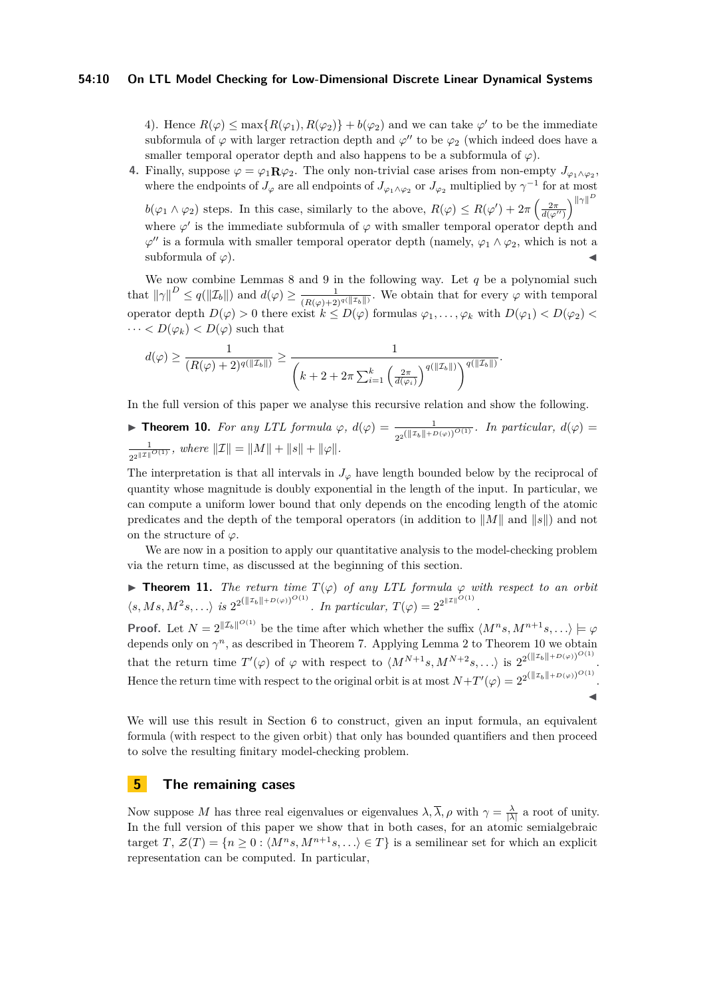4). Hence  $R(\varphi) \le \max\{R(\varphi_1), R(\varphi_2)\} + b(\varphi_2)$  and we can take  $\varphi'$  to be the immediate subformula of  $\varphi$  with larger retraction depth and  $\varphi''$  to be  $\varphi_2$  (which indeed does have a smaller temporal operator depth and also happens to be a subformula of  $\varphi$ ).

**4.** Finally, suppose  $\varphi = \varphi_1 \mathbf{R} \varphi_2$ . The only non-trivial case arises from non-empty  $J_{\varphi_1 \wedge \varphi_2}$ , where the endpoints of  $J_{\varphi}$  are all endpoints of  $J_{\varphi_1 \wedge \varphi_2}$  or  $J_{\varphi_2}$  multiplied by  $\gamma^{-1}$  for at most *D*

 $b(\varphi_1 \wedge \varphi_2)$  steps. In this case, similarly to the above,  $R(\varphi) \leq R(\varphi') + 2\pi \left(\frac{2\pi}{d(\varphi'')} \right)^{||\gamma||}$ where  $\varphi'$  is the immediate subformula of  $\varphi$  with smaller temporal operator depth and  $\varphi''$  is a formula with smaller temporal operator depth (namely,  $\varphi_1 \wedge \varphi_2$ , which is not a subformula of  $\varphi$ ).

We now combine Lemmas 8 and 9 in the following way. Let *q* be a polynomial such that  $\|\gamma\|^D \le q(\|\mathcal{I}_b\|)$  and  $d(\varphi) \ge \frac{1}{(R(\varphi)+2)^{q(\|\mathcal{I}_b\|)}}$ . We obtain that for every  $\varphi$  with temporal operator depth  $D(\varphi) > 0$  there exist  $k \leq D(\varphi)$  formulas  $\varphi_1, \ldots, \varphi_k$  with  $D(\varphi_1) < D(\varphi_2)$  $\cdots < D(\varphi_k) < D(\varphi)$  such that

$$
d(\varphi) \geq \frac{1}{(R(\varphi) + 2)^{q(\|\mathcal{I}_b\|)}} \geq \frac{1}{\left(k + 2 + 2\pi \sum_{i=1}^k \left(\frac{2\pi}{d(\varphi_i)}\right)^{q(\|\mathcal{I}_b\|)}\right)^{q(\|\mathcal{I}_b\|)}}.
$$

In the full version of this paper we analyse this recursive relation and show the following.

**► Theorem 10.** *For any LTL formula*  $\varphi$ ,  $d(\varphi) = \frac{1}{\sqrt{||\mathcal{F}_v||_1} \sqrt{||\mathcal{F}_v||_1}}$  $\frac{1}{2^{2}(\Vert \mathcal{I}_b \Vert + D(\varphi))^{O(1)}}$ . In particular,  $d(\varphi) =$ 1  $\frac{1}{2^{2^{\|X\|}}^{O(1)}}$ , where  $||\mathcal{I}|| = ||M|| + ||s|| + ||\varphi||$ .

The interpretation is that all intervals in  $J_{\varphi}$  have length bounded below by the reciprocal of quantity whose magnitude is doubly exponential in the length of the input. In particular, we can compute a uniform lower bound that only depends on the encoding length of the atomic predicates and the depth of the temporal operators (in addition to  $||M||$  and  $||s||$ ) and not on the structure of *ϕ*.

We are now in a position to apply our quantitative analysis to the model-checking problem via the return time, as discussed at the beginning of this section.

**Theorem 11.** *The return time*  $T(\varphi)$  *of any LTL formula*  $\varphi$  *with respect to an orbit*  $\langle s, Ms, M^2 s, \ldots \rangle$  *is*  $2^{2(\|\mathcal{I}_b\| + D(\varphi))^{O(1)}}$ *. In particular,*  $T(\varphi) = 2^{2^{\|\mathcal{I}\|^{O(1)}}}$ *.* 

**Proof.** Let  $N = 2^{\Vert \mathcal{I}_b \Vert^{O(1)}}$  be the time after which whether the suffix  $\langle M^n s, M^{n+1} s, \ldots \rangle \models \varphi$ depends only on  $\gamma^n$ , as described in Theorem 7. Applying Lemma 2 to Theorem 10 we obtain that the return time  $T'(\varphi)$  of  $\varphi$  with respect to  $\langle M^{N+1}s, M^{N+2}s, \ldots \rangle$  is  $2^{2(\Vert \mathcal{I}_b \Vert + D(\varphi))^{O(1)}}$ . Hence the return time with respect to the original orbit is at most  $N+T'(\varphi) = 2^{2(\Vert \mathcal{I}_b \Vert + D(\varphi))^{O(1)}}$ .  $\blacktriangleleft$ 

We will use this result in Section 6 to construct, given an input formula, an equivalent formula (with respect to the given orbit) that only has bounded quantifiers and then proceed to solve the resulting finitary model-checking problem.

## **5 The remaining cases**

Now suppose *M* has three real eigenvalues or eigenvalues  $\lambda$ ,  $\overline{\lambda}$ ,  $\rho$  with  $\gamma = \frac{\lambda}{|\lambda|}$  a root of unity. In the full version of this paper we show that in both cases, for an atomic semialgebraic target *T*,  $\mathcal{Z}(T) = \{n \geq 0 : \langle M^n s, M^{n+1} s, \ldots \rangle \in T\}$  is a semilinear set for which an explicit representation can be computed. In particular,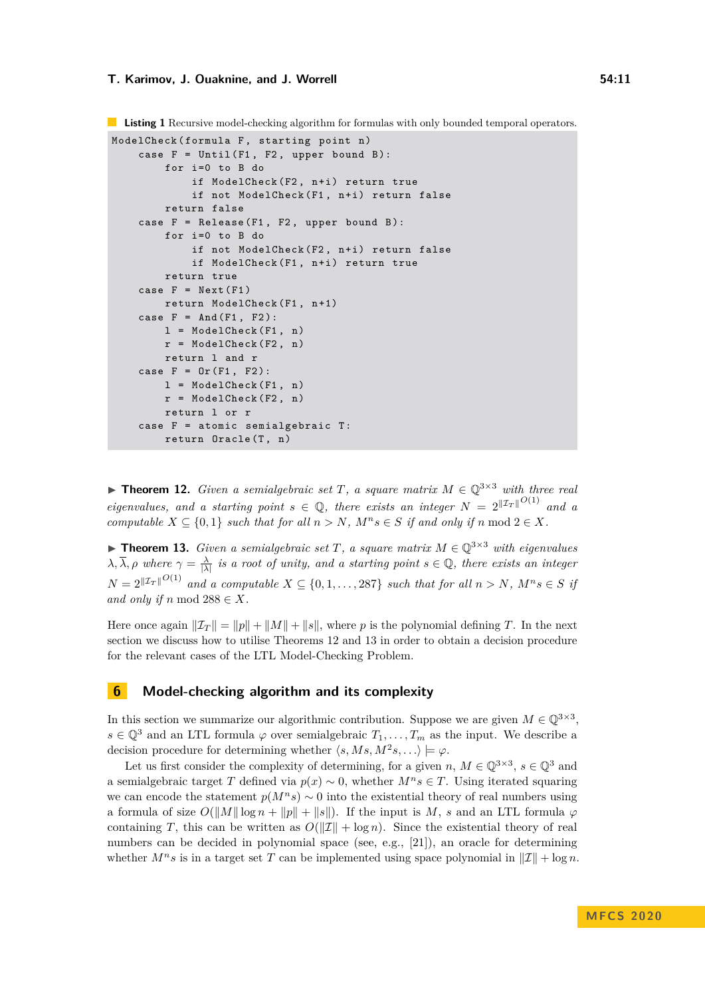**Listing 1** Recursive model-checking algorithm for formulas with only bounded temporal operators.

```
ModelCheck (formula F, starting point n)
case F = Unit1(F1, F2, upper bound B):
    for i=0 to B do
        if ModelCheck (F2, n+i) return true
        if not ModelCheck (F1, n+i) return false
    return false
case F = Release (F1, F2, upper bound B):
    for i = 0 to B do
        if not ModelCheck (F2, n+i) return false
        if ModelCheck (F1, n+i) return true
    return true
case F = Next(F1)return ModelCheck (F1, n+1)
case F = And(F1, F2):
    l = ModelCheck(F1, n)r = ModelCheck (F2, n)return l and r
case F = 0r(F1, F2):
    l = ModelCheck(F1, n)r = ModelCheck (F2, n)return l or r
case F = atomic semialgebraic T:
    return Oracle (T. n)
```
▶ **Theorem 12.** *Given a semialgebraic set T*, a square matrix  $M \in \mathbb{Q}^{3 \times 3}$  with three real *eigenvalues, and a starting point*  $s \in \mathbb{Q}$ , there exists an integer  $N = 2^{\Vert \mathcal{I}_T \Vert^{O(1)}}$  and a *computable*  $X \subseteq \{0, 1\}$  *such that for all*  $n > N$ *,*  $M^n s \in S$  *if and only if*  $n \mod 2 \in X$ *.* 

▶ **Theorem 13.** *Given a semialgebraic set T*, *a square matrix*  $M \in \mathbb{Q}^{3 \times 3}$  *with eigenvalues*  $\lambda, \overline{\lambda}, \rho$  where  $\gamma = \frac{\lambda}{|\lambda|}$  is a root of unity, and a starting point  $s \in \mathbb{Q}$ , there exists an integer  $N = 2^{\|\mathcal{I}_T\|^{O(1)}}$  and a computable  $X \subseteq \{0, 1, ..., 287\}$  such that for all  $n > N$ ,  $M^n s \in S$  if and only if *n* mod  $288 \in X$ *.* 

Here once again  $\|\mathcal{I}_T\| = \|p\| + \|M\| + \|s\|$ , where p is the polynomial defining T. In the next section we discuss how to utilise Theorems 12 and 13 in order to obtain a decision procedure for the relevant cases of the LTL Model-Checking Problem.

## **6 Model-checking algorithm and its complexity**

In this section we summarize our algorithmic contribution. Suppose we are given  $M \in \mathbb{Q}^{3 \times 3}$ ,  $s \in \mathbb{Q}^{3}$  and an LTL formula  $\varphi$  over semialgebraic  $T_1, \ldots, T_m$  as the input. We describe a decision procedure for determining whether  $\langle s, Ms, M^2s, \ldots \rangle \models \varphi$ .

Let us first consider the complexity of determining, for a given  $n, M \in \mathbb{Q}^{3 \times 3}, s \in \mathbb{Q}^3$  and a semialgebraic target *T* defined via  $p(x) \sim 0$ , whether  $M^n s \in T$ . Using iterated squaring we can encode the statement  $p(M^n s) \sim 0$  into the existential theory of real numbers using a formula of size  $O(||M|| \log n + ||p|| + ||s||)$ . If the input is M, *s* and an LTL formula  $\varphi$ containing *T*, this can be written as  $O(||\mathcal{I}|| + \log n)$ . Since the existential theory of real numbers can be decided in polynomial space (see, e.g., [\[21\]](#page-13-9)), an oracle for determining whether  $M^n s$  is in a target set T can be implemented using space polynomial in  $\|\mathcal{I}\| + \log n$ .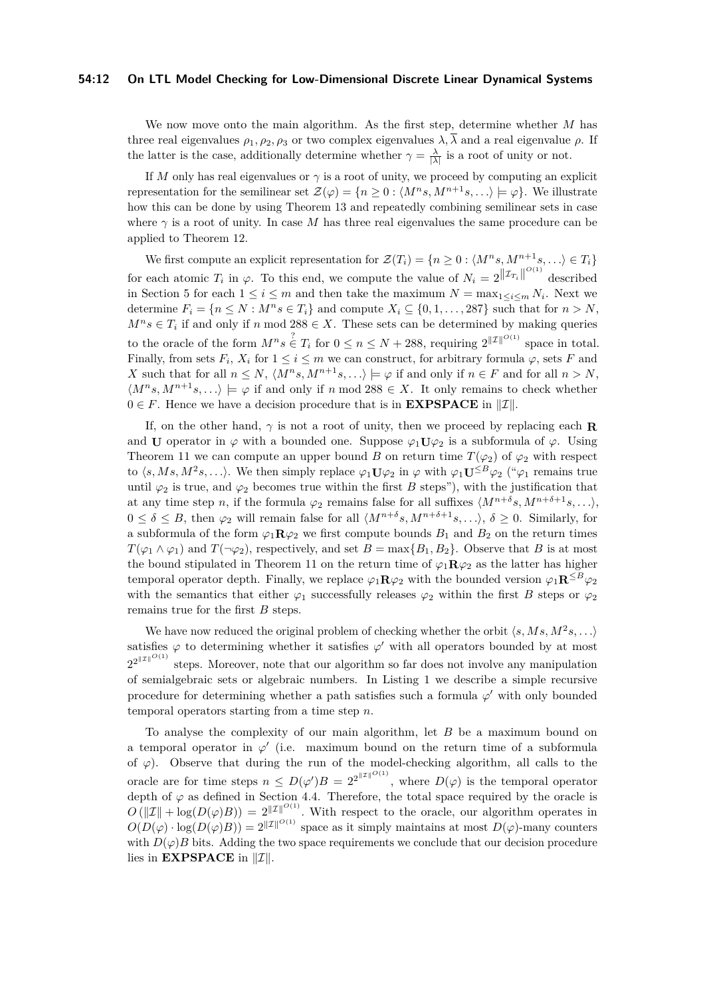#### **54:12 On LTL Model Checking for Low-Dimensional Discrete Linear Dynamical Systems**

We now move onto the main algorithm. As the first step, determine whether *M* has three real eigenvalues  $\rho_1, \rho_2, \rho_3$  or two complex eigenvalues  $\lambda, \overline{\lambda}$  and a real eigenvalue  $\rho$ . If the latter is the case, additionally determine whether  $\gamma = \frac{\lambda}{|\lambda|}$  is a root of unity or not.

If *M* only has real eigenvalues or  $\gamma$  is a root of unity, we proceed by computing an explicit representation for the semilinear set  $\mathcal{Z}(\varphi) = \{n \geq 0 : \langle M^n s, M^{n+1} s, \ldots \rangle \models \varphi\}$ . We illustrate how this can be done by using Theorem 13 and repeatedly combining semilinear sets in case where  $\gamma$  is a root of unity. In case M has three real eigenvalues the same procedure can be applied to Theorem 12.

We first compute an explicit representation for  $\mathcal{Z}(T_i) = \{n \geq 0 : \langle M^n s, M^{n+1} s, \ldots \rangle \in T_i\}$ for each atomic  $T_i$  in  $\varphi$ . To this end, we compute the value of  $N_i = 2^{\| \mathcal{I}_{T_i} \|}^{\mathcal{O}(1)}}$  described in Section 5 for each  $1 \leq i \leq m$  and then take the maximum  $N = \max_{1 \leq i \leq m} N_i$ . Next we determine  $F_i = \{n \leq N : M^n s \in T_i\}$  and compute  $X_i \subseteq \{0, 1, \ldots, 287\}$  such that for  $n > N$ ,  $M^n s \in T_i$  if and only if *n* mod 288 ∈ *X*. These sets can be determined by making queries to the oracle of the form  $M^n s \in T_i$  for  $0 \le n \le N + 288$ , requiring  $2^{||\mathcal{I}||^{O(1)}}$  space in total. Finally, from sets  $F_i$ ,  $X_i$  for  $1 \leq i \leq m$  we can construct, for arbitrary formula  $\varphi$ , sets F and *X* such that for all  $n \leq N$ ,  $\langle M^n s, M^{n+1} s, \ldots \rangle \models \varphi$  if and only if  $n \in F$  and for all  $n > N$ ,  $\langle M^n s, M^{n+1} s, \ldots \rangle \models \varphi$  if and only if *n* mod 288  $\in X$ . It only remains to check whether  $0 \in F$ . Hence we have a decision procedure that is in **EXPSPACE** in  $||\mathcal{I}||$ .

If, on the other hand,  $\gamma$  is not a root of unity, then we proceed by replacing each **R** and **U** operator in  $\varphi$  with a bounded one. Suppose  $\varphi_1 \mathbf{U} \varphi_2$  is a subformula of  $\varphi$ . Using Theorem 11 we can compute an upper bound *B* on return time  $T(\varphi_2)$  of  $\varphi_2$  with respect to  $\langle s, Ms, M^2s, \ldots \rangle$ . We then simply replace  $\varphi_1 \mathbf{U} \varphi_2$  in  $\varphi$  with  $\varphi_1 \mathbf{U}^{\leq B} \varphi_2$  (" $\varphi_1$  remains true until  $\varphi_2$  is true, and  $\varphi_2$  becomes true within the first *B* steps"), with the justification that at any time step *n*, if the formula  $\varphi_2$  remains false for all suffixes  $\langle M^{n+\delta}s, M^{n+\delta+1}s, \ldots \rangle$ ,  $0 \leq \delta \leq B$ , then  $\varphi_2$  will remain false for all  $\langle M^{n+\delta}s, M^{n+\delta+1}s, \ldots \rangle$ ,  $\delta \geq 0$ . Similarly, for a subformula of the form  $\varphi_1 \mathbf{R} \varphi_2$  we first compute bounds  $B_1$  and  $B_2$  on the return times  $T(\varphi_1 \wedge \varphi_1)$  and  $T(\neg \varphi_2)$ , respectively, and set  $B = \max\{B_1, B_2\}$ . Observe that *B* is at most the bound stipulated in Theorem 11 on the return time of  $\varphi_1 \mathbf{R} \varphi_2$  as the latter has higher temporal operator depth. Finally, we replace  $\varphi_1 \mathbf{R} \varphi_2$  with the bounded version  $\varphi_1 \mathbf{R}^{\leq B} \varphi_2$ with the semantics that either  $\varphi_1$  successfully releases  $\varphi_2$  within the first *B* steps or  $\varphi_2$ remains true for the first *B* steps.

We have now reduced the original problem of checking whether the orbit  $\langle s, Ms, M^2s, \ldots \rangle$ satisfies  $\varphi$  to determining whether it satisfies  $\varphi'$  with all operators bounded by at most  $2^{2^{\|\mathcal{I}\|^{O(1)}}}$ steps. Moreover, note that our algorithm so far does not involve any manipulation of semialgebraic sets or algebraic numbers. In Listing 1 we describe a simple recursive procedure for determining whether a path satisfies such a formula  $\varphi'$  with only bounded temporal operators starting from a time step *n*.

To analyse the complexity of our main algorithm, let *B* be a maximum bound on a temporal operator in  $\varphi'$  (i.e. maximum bound on the return time of a subformula of  $\varphi$ ). Observe that during the run of the model-checking algorithm, all calls to the oracle are for time steps  $n \leq D(\varphi')B = 2^{2^{\|\mathcal{I}\|}^{O(1)}}$ , where  $D(\varphi)$  is the temporal operator depth of  $\varphi$  as defined in Section 4.4. Therefore, the total space required by the oracle is  $O(|\mathcal{I}| + \log(D(\varphi)B)) = 2^{||\mathcal{I}||^{O(1)}}$ . With respect to the oracle, our algorithm operates in  $O(D(\varphi) \cdot \log(D(\varphi)B)) = 2^{\|\mathcal{I}\|^{O(1)}}$  space as it simply maintains at most  $D(\varphi)$ -many counters with  $D(\varphi)B$  bits. Adding the two space requirements we conclude that our decision procedure lies in **EXPSPACE** in  $||\mathcal{I}||$ .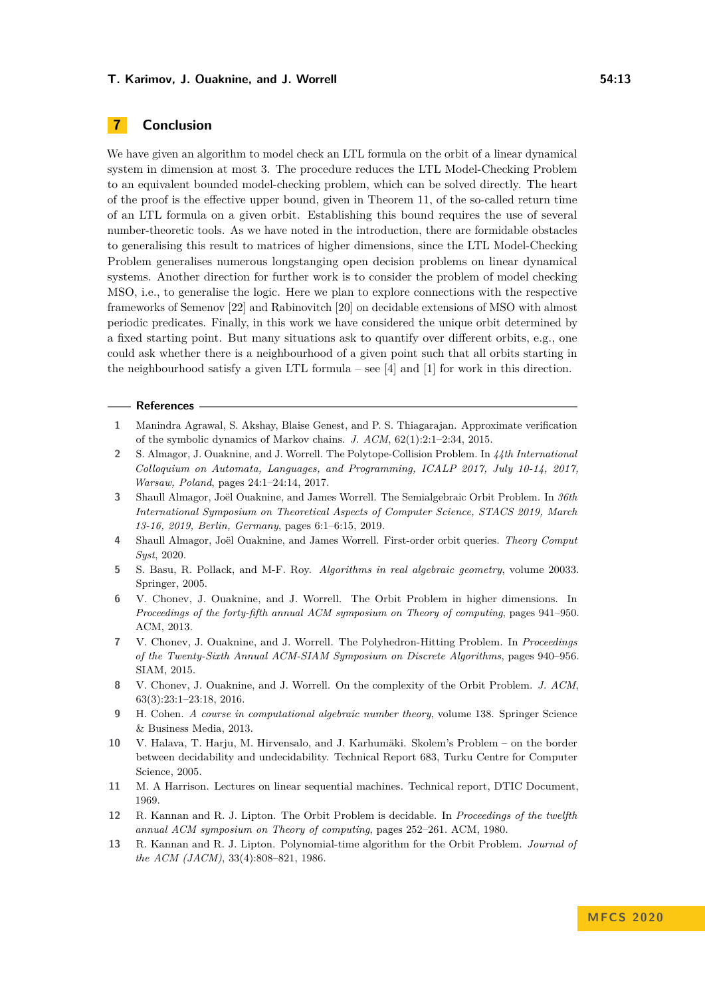## **7 Conclusion**

We have given an algorithm to model check an LTL formula on the orbit of a linear dynamical system in dimension at most 3. The procedure reduces the LTL Model-Checking Problem to an equivalent bounded model-checking problem, which can be solved directly. The heart of the proof is the effective upper bound, given in Theorem 11, of the so-called return time of an LTL formula on a given orbit. Establishing this bound requires the use of several number-theoretic tools. As we have noted in the introduction, there are formidable obstacles to generalising this result to matrices of higher dimensions, since the LTL Model-Checking Problem generalises numerous longstanging open decision problems on linear dynamical systems. Another direction for further work is to consider the problem of model checking MSO, i.e., to generalise the logic. Here we plan to explore connections with the respective frameworks of Semenov [\[22\]](#page-13-10) and Rabinovitch [\[20\]](#page-13-11) on decidable extensions of MSO with almost periodic predicates. Finally, in this work we have considered the unique orbit determined by a fixed starting point. But many situations ask to quantify over different orbits, e.g., one could ask whether there is a neighbourhood of a given point such that all orbits starting in the neighbourhood satisfy a given LTL formula – see  $[4]$  and  $[1]$  for work in this direction.

#### **References**

- <span id="page-12-10"></span>**1** Manindra Agrawal, S. Akshay, Blaise Genest, and P. S. Thiagarajan. Approximate verification of the symbolic dynamics of Markov chains. *J. ACM*, 62(1):2:1–2:34, 2015.
- <span id="page-12-8"></span>**2** S. Almagor, J. Ouaknine, and J. Worrell. The Polytope-Collision Problem. In *44th International Colloquium on Automata, Languages, and Programming, ICALP 2017, July 10-14, 2017, Warsaw, Poland*, pages 24:1–24:14, 2017.
- <span id="page-12-7"></span>**3** Shaull Almagor, Joël Ouaknine, and James Worrell. The Semialgebraic Orbit Problem. In *36th International Symposium on Theoretical Aspects of Computer Science, STACS 2019, March 13-16, 2019, Berlin, Germany*, pages 6:1–6:15, 2019.
- <span id="page-12-9"></span>**4** Shaull Almagor, Joël Ouaknine, and James Worrell. First-order orbit queries. *Theory Comput Syst*, 2020.
- <span id="page-12-11"></span>**5** S. Basu, R. Pollack, and M-F. Roy. *Algorithms in real algebraic geometry*, volume 20033. Springer, 2005.
- <span id="page-12-5"></span>**6** V. Chonev, J. Ouaknine, and J. Worrell. The Orbit Problem in higher dimensions. In *Proceedings of the forty-fifth annual ACM symposium on Theory of computing*, pages 941–950. ACM, 2013.
- <span id="page-12-6"></span>**7** V. Chonev, J. Ouaknine, and J. Worrell. The Polyhedron-Hitting Problem. In *Proceedings of the Twenty-Sixth Annual ACM-SIAM Symposium on Discrete Algorithms*, pages 940–956. SIAM, 2015.
- <span id="page-12-0"></span>**8** V. Chonev, J. Ouaknine, and J. Worrell. On the complexity of the Orbit Problem. *J. ACM*, 63(3):23:1–23:18, 2016.
- <span id="page-12-12"></span>**9** H. Cohen. *A course in computational algebraic number theory*, volume 138. Springer Science & Business Media, 2013.
- <span id="page-12-1"></span>**10** V. Halava, T. Harju, M. Hirvensalo, and J. Karhumäki. Skolem's Problem – on the border between decidability and undecidability. Technical Report 683, Turku Centre for Computer Science, 2005.
- <span id="page-12-3"></span>**11** M. A Harrison. Lectures on linear sequential machines. Technical report, DTIC Document, 1969.
- <span id="page-12-4"></span>**12** R. Kannan and R. J. Lipton. The Orbit Problem is decidable. In *Proceedings of the twelfth annual ACM symposium on Theory of computing*, pages 252–261. ACM, 1980.
- <span id="page-12-2"></span>**13** R. Kannan and R. J. Lipton. Polynomial-time algorithm for the Orbit Problem. *Journal of the ACM (JACM)*, 33(4):808–821, 1986.